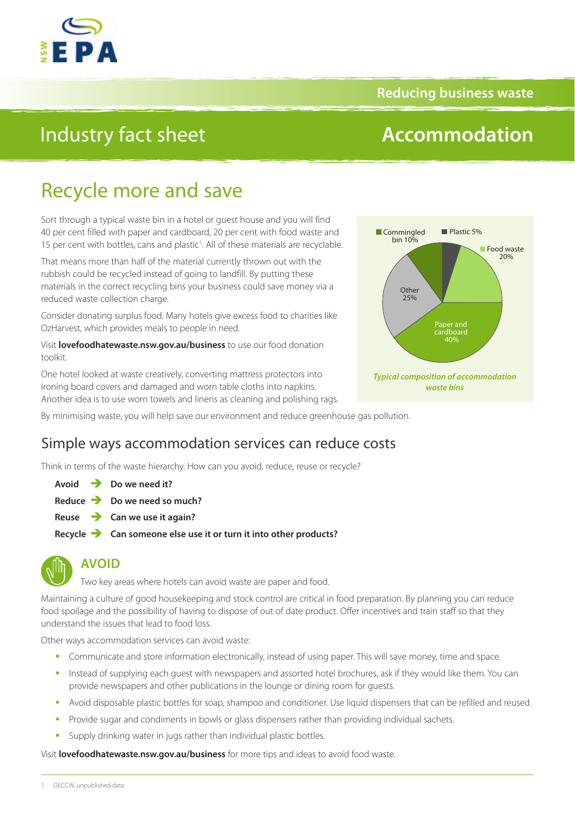

### **Reducing business waste**

# Industry fact sheet

# **Accommodation**

# Recycle more and save

Sort through a typical waste bin in a hotel or guest house and you will find 40 per cent filled with paper and cardboard, 20 per cent with food waste and 15 per cent with bottles, cans and plastic<sup>1</sup>. All of these materials are recyclable.

That means more than half of the material currently thrown out with the rubbish could be recycled instead of going to landfill. By putting these materials in the correct recycling bins your business could save money via a reduced waste collection charge.

Consider donating surplus food. Many hotels give excess food to charities like OzHarvest, which provides meals to people in need.

Visit **[lovefoodhatewaste.nsw.gov.au/business](http://lovefoodhatewaste.nsw.gov.au/business)** to use our food donation toolkit.

One hotel looked at waste creatively, converting mattress protectors into ironing board covers and damaged and worn table cloths into napkins. Another idea is to use worn towels and linens as cleaning and polishing rags.



By minimising waste, you will help save our environment and reduce greenhouse gas pollution.

## Simple ways accommodation services can reduce costs

Think in terms of the waste hierarchy. How can you avoid, reduce, reuse or recycle?

**Avoid Do we need it?**

- **Reduce Do we need so much?**
- **Reuse Can we use it again?**
- **Recycle Can someone else use it or turn it into other products?**



### **AVOID**

Two key areas where hotels can avoid waste are paper and food.

Maintaining a culture of good housekeeping and stock control are critical in food preparation. By planning you can reduce food spoilage and the possibility of having to dispose of out of date product. Offer incentives and train staff so that they understand the issues that lead to food loss.

Other ways accommodation services can avoid waste:

- **Communicate and store information electronically, instead of using paper. This will save money, time and space.**
- Instead of supplying each guest with newspapers and assorted hotel brochures, ask if they would like them. You can provide newspapers and other publications in the lounge or dining room for guests.
- Avoid disposable plastic bottles for soap, shampoo and conditioner. Use liquid dispensers that can be refilled and reused.
- Provide sugar and condiments in bowls or glass dispensers rather than providing individual sachets.
- **Supply drinking water in jugs rather than individual plastic bottles.**

Visit **[lovefoodhatewaste.nsw.gov.au/business](http://lovefoodhatewaste.nsw.gov.au/business)** for more tips and ideas to avoid food waste.